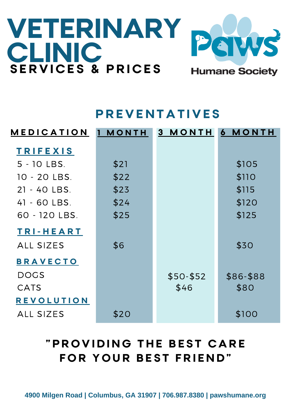# **VETERINARY CLINIC S E R V I C E S & P R I C E S**



**Humane Society** 

### **P R E V E N T A T I V E S**

| <b>MEDICATION</b> | <b>MONTH</b><br>1. | <b>MONTH</b><br>3 <sup>1</sup> | 6 MONTH   |
|-------------------|--------------------|--------------------------------|-----------|
| <b>TRIFEXIS</b>   |                    |                                |           |
| 5 - 10 LBS.       | \$21               |                                | \$105     |
| 10 - 20 LBS.      | \$22               |                                | \$110     |
| 21 - 40 LBS.      | \$23               |                                | \$115     |
| 41 - 60 LBS.      | \$24               |                                | \$120     |
| 60 - 120 LBS.     | \$25               |                                | \$125     |
| TRI-HEART         |                    |                                |           |
| <b>ALL SIZES</b>  | \$6                |                                | \$30      |
| <b>BRAVECTO</b>   |                    |                                |           |
| <b>DOGS</b>       |                    | $$50 - $52$                    | \$86-\$88 |
| <b>CATS</b>       |                    | \$46                           | \$80      |
| <b>REVOLUTION</b> |                    |                                |           |
| <b>ALL SIZES</b>  | \$20               |                                | \$100     |

## **" P R O V I D I N G T H E B E S T C A R E**  $FOR$  YOUR BEST FRIEND"

**4900 Milgen Road | Columbus, GA 31907 | 706.987.8380 | pawshumane.org**